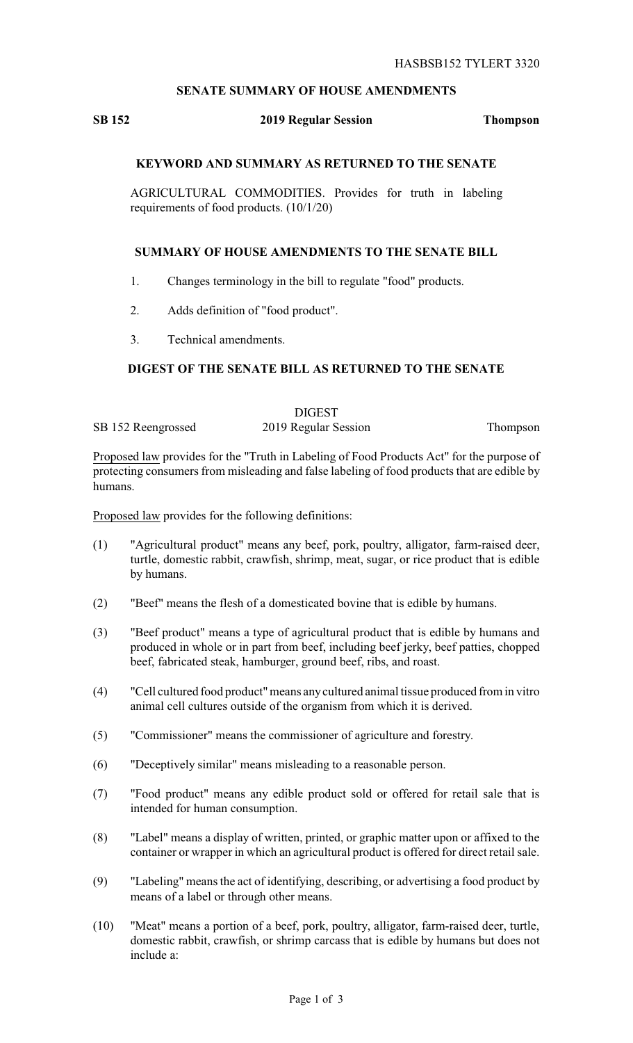## **SENATE SUMMARY OF HOUSE AMENDMENTS**

# **SB 152 2019 Regular Session Thompson**

### **KEYWORD AND SUMMARY AS RETURNED TO THE SENATE**

AGRICULTURAL COMMODITIES. Provides for truth in labeling requirements of food products. (10/1/20)

### **SUMMARY OF HOUSE AMENDMENTS TO THE SENATE BILL**

- 1. Changes terminology in the bill to regulate "food" products.
- 2. Adds definition of "food product".
- 3. Technical amendments.

### **DIGEST OF THE SENATE BILL AS RETURNED TO THE SENATE**

|                    | <b>DIGEST</b>        |          |
|--------------------|----------------------|----------|
| SB 152 Reengrossed | 2019 Regular Session | Thompson |

Proposed law provides for the "Truth in Labeling of Food Products Act" for the purpose of protecting consumers from misleading and false labeling of food products that are edible by humans.

Proposed law provides for the following definitions:

- (1) "Agricultural product" means any beef, pork, poultry, alligator, farm-raised deer, turtle, domestic rabbit, crawfish, shrimp, meat, sugar, or rice product that is edible by humans.
- (2) "Beef" means the flesh of a domesticated bovine that is edible by humans.
- (3) "Beef product" means a type of agricultural product that is edible by humans and produced in whole or in part from beef, including beef jerky, beef patties, chopped beef, fabricated steak, hamburger, ground beef, ribs, and roast.
- (4) "Cell cultured food product"means anycultured animal tissue produced from in vitro animal cell cultures outside of the organism from which it is derived.
- (5) "Commissioner" means the commissioner of agriculture and forestry.
- (6) "Deceptively similar" means misleading to a reasonable person.
- (7) "Food product" means any edible product sold or offered for retail sale that is intended for human consumption.
- (8) "Label" means a display of written, printed, or graphic matter upon or affixed to the container or wrapper in which an agricultural product is offered for direct retail sale.
- (9) "Labeling" means the act of identifying, describing, or advertising a food product by means of a label or through other means.
- (10) "Meat" means a portion of a beef, pork, poultry, alligator, farm-raised deer, turtle, domestic rabbit, crawfish, or shrimp carcass that is edible by humans but does not include a: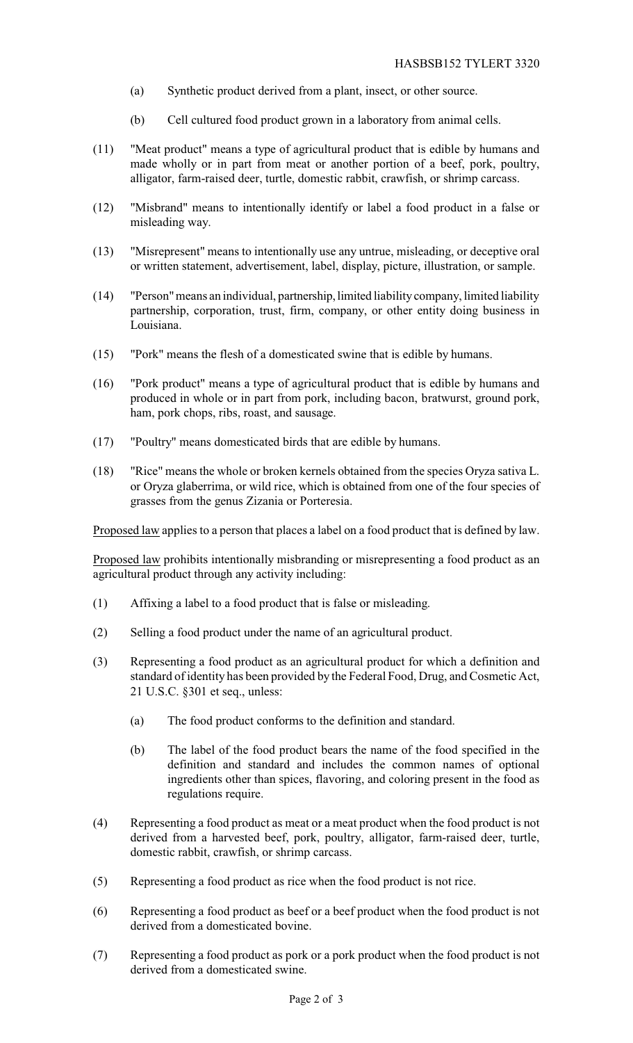- (a) Synthetic product derived from a plant, insect, or other source.
- (b) Cell cultured food product grown in a laboratory from animal cells.
- (11) "Meat product" means a type of agricultural product that is edible by humans and made wholly or in part from meat or another portion of a beef, pork, poultry, alligator, farm-raised deer, turtle, domestic rabbit, crawfish, or shrimp carcass.
- (12) "Misbrand" means to intentionally identify or label a food product in a false or misleading way.
- (13) "Misrepresent" means to intentionally use any untrue, misleading, or deceptive oral or written statement, advertisement, label, display, picture, illustration, or sample.
- (14) "Person"means an individual, partnership,limited liability company, limited liability partnership, corporation, trust, firm, company, or other entity doing business in Louisiana.
- (15) "Pork" means the flesh of a domesticated swine that is edible by humans.
- (16) "Pork product" means a type of agricultural product that is edible by humans and produced in whole or in part from pork, including bacon, bratwurst, ground pork, ham, pork chops, ribs, roast, and sausage.
- (17) "Poultry" means domesticated birds that are edible by humans.
- (18) "Rice" means the whole or broken kernels obtained from the species Oryza sativa L. or Oryza glaberrima, or wild rice, which is obtained from one of the four species of grasses from the genus Zizania or Porteresia.

Proposed law applies to a person that places a label on a food product that is defined by law.

Proposed law prohibits intentionally misbranding or misrepresenting a food product as an agricultural product through any activity including:

- (1) Affixing a label to a food product that is false or misleading.
- (2) Selling a food product under the name of an agricultural product.
- (3) Representing a food product as an agricultural product for which a definition and standard of identity has been provided by the Federal Food, Drug, and Cosmetic Act, 21 U.S.C. §301 et seq., unless:
	- (a) The food product conforms to the definition and standard.
	- (b) The label of the food product bears the name of the food specified in the definition and standard and includes the common names of optional ingredients other than spices, flavoring, and coloring present in the food as regulations require.
- (4) Representing a food product as meat or a meat product when the food product is not derived from a harvested beef, pork, poultry, alligator, farm-raised deer, turtle, domestic rabbit, crawfish, or shrimp carcass.
- (5) Representing a food product as rice when the food product is not rice.
- (6) Representing a food product as beef or a beef product when the food product is not derived from a domesticated bovine.
- (7) Representing a food product as pork or a pork product when the food product is not derived from a domesticated swine.